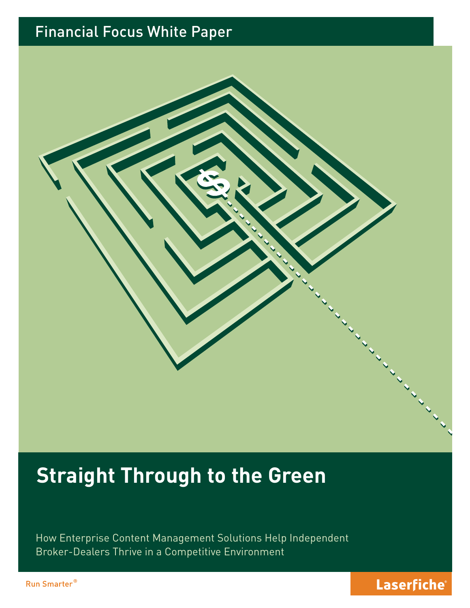## Financial Focus White Paper



# **Straight Through to the Green**

How Enterprise Content Management Solutions Help Independent Broker-Dealers Thrive in a Competitive Environment

Run Smarter<sup>®</sup>

## Laserfiche®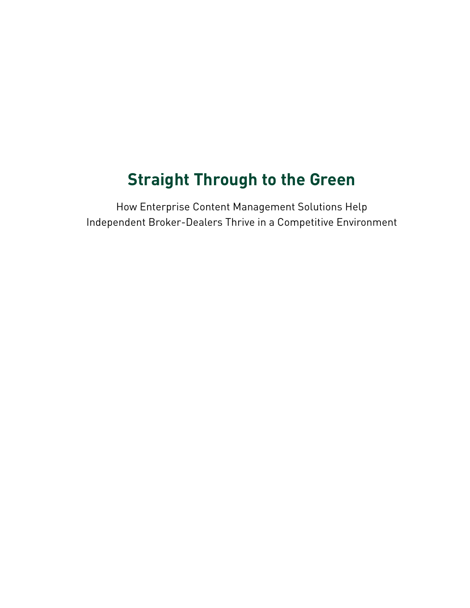## **Straight Through to the Green**

How Enterprise Content Management Solutions Help Independent Broker-Dealers Thrive in a Competitive Environment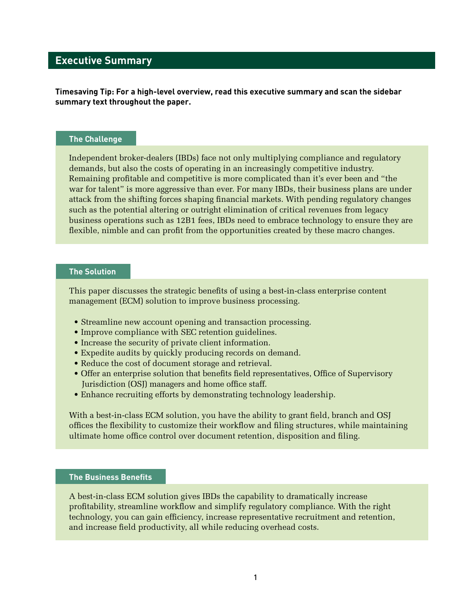## **Executive Summary**

**Timesaving Tip: For a high-level overview, read this executive summary and scan the sidebar summary text throughout the paper.**

#### **The Challenge**

Independent broker-dealers (IBDs) face not only multiplying compliance and regulatory demands, but also the costs of operating in an increasingly competitive industry. Remaining profitable and competitive is more complicated than it's ever been and "the war for talent" is more aggressive than ever. For many IBDs, their business plans are under attack from the shifting forces shaping financial markets. With pending regulatory changes such as the potential altering or outright elimination of critical revenues from legacy business operations such as 12B1 fees, IBDs need to embrace technology to ensure they are flexible, nimble and can profit from the opportunities created by these macro changes.

#### **The Solution**

This paper discusses the strategic benefits of using a best-in-class enterprise content management (ECM) solution to improve business processing.

- Streamline new account opening and transaction processing.
- Improve compliance with SEC retention guidelines.
- Increase the security of private client information.
- Expedite audits by quickly producing records on demand.
- Reduce the cost of document storage and retrieval.
- Offer an enterprise solution that benefits field representatives, Office of Supervisory Jurisdiction (OSJ) managers and home office staff.
- Enhance recruiting efforts by demonstrating technology leadership.

With a best-in-class ECM solution, you have the ability to grant field, branch and OSJ offices the flexibility to customize their workflow and filing structures, while maintaining ultimate home office control over document retention, disposition and filing.

#### **The Business Benefits**

A best-in-class ECM solution gives IBDs the capability to dramatically increase profitability, streamline workflow and simplify regulatory compliance. With the right technology, you can gain efficiency, increase representative recruitment and retention, and increase field productivity, all while reducing overhead costs.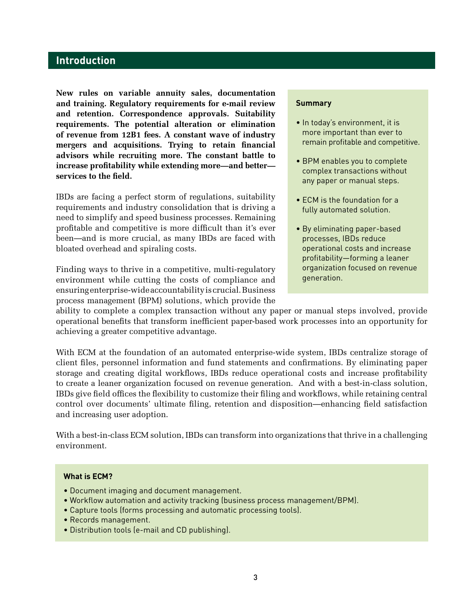## **Introduction**

**New rules on variable annuity sales, documentation and training. Regulatory requirements for e-mail review and retention. Correspondence approvals. Suitability requirements. The potential alteration or elimination of revenue from 12B1 fees. A constant wave of industry mergers and acquisitions. Trying to retain financial advisors while recruiting more. The constant battle to increase profitability while extending more—and better services to the field.** 

IBDs are facing a perfect storm of regulations, suitability requirements and industry consolidation that is driving a need to simplify and speed business processes. Remaining profitable and competitive is more difficult than it's ever been—and is more crucial, as many IBDs are faced with bloated overhead and spiraling costs.

Finding ways to thrive in a competitive, multi-regulatory environment while cutting the costs of compliance and ensuring enterprise-wide accountability is crucial. Business process management (BPM) solutions, which provide the

#### **Summary**

- In today's environment, it is more important than ever to remain profitable and competitive.
- BPM enables you to complete complex transactions without any paper or manual steps.
- ECM is the foundation for a fully automated solution.
- By eliminating paper-based processes, IBDs reduce operational costs and increase profitability—forming a leaner organization focused on revenue generation.

ability to complete a complex transaction without any paper or manual steps involved, provide operational benefits that transform inefficient paper-based work processes into an opportunity for achieving a greater competitive advantage.

With ECM at the foundation of an automated enterprise-wide system, IBDs centralize storage of client files, personnel information and fund statements and confirmations. By eliminating paper storage and creating digital workflows, IBDs reduce operational costs and increase profitability to create a leaner organization focused on revenue generation. And with a best-in-class solution, IBDs give field offices the flexibility to customize their filing and workflows, while retaining central control over documents' ultimate filing, retention and disposition—enhancing field satisfaction and increasing user adoption.

With a best-in-class ECM solution, IBDs can transform into organizations that thrive in a challenging environment.

#### **What is ECM?**

- Document imaging and document management.
- Workflow automation and activity tracking (business process management/BPM).
- Capture tools (forms processing and automatic processing tools).
- Records management.
- Distribution tools (e-mail and CD publishing).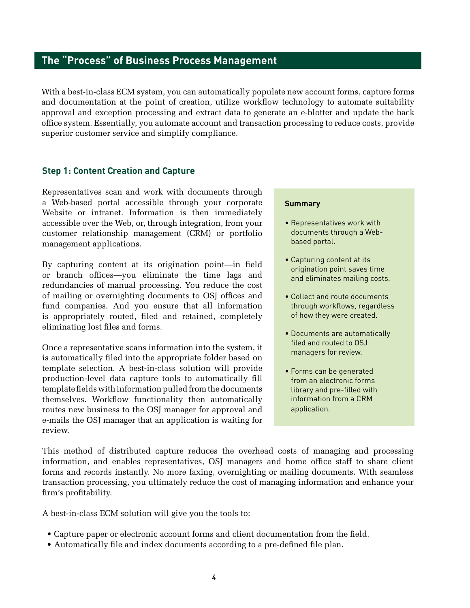## **The "Process" of Business Process Management**

With a best-in-class ECM system, you can automatically populate new account forms, capture forms and documentation at the point of creation, utilize workflow technology to automate suitability approval and exception processing and extract data to generate an e-blotter and update the back office system. Essentially, you automate account and transaction processing to reduce costs, provide superior customer service and simplify compliance.

#### **Step 1: Content Creation and Capture**

Representatives scan and work with documents through a Web-based portal accessible through your corporate Website or intranet. Information is then immediately accessible over the Web, or, through integration, from your customer relationship management (CRM) or portfolio management applications.

By capturing content at its origination point—in field or branch offices—you eliminate the time lags and redundancies of manual processing. You reduce the cost of mailing or overnighting documents to OSJ offices and fund companies. And you ensure that all information is appropriately routed, filed and retained, completely eliminating lost files and forms.

Once a representative scans information into the system, it is automatically filed into the appropriate folder based on template selection. A best-in-class solution will provide production-level data capture tools to automatically fill template fields with information pulled from the documents themselves. Workflow functionality then automatically routes new business to the OSJ manager for approval and e-mails the OSJ manager that an application is waiting for review.

#### **Summary**

- Representatives work with documents through a Webbased portal.
- Capturing content at its origination point saves time and eliminates mailing costs.
- Collect and route documents through workflows, regardless of how they were created.
- Documents are automatically filed and routed to OSJ managers for review.
- Forms can be generated from an electronic forms library and pre-filled with information from a CRM application.

This method of distributed capture reduces the overhead costs of managing and processing information, and enables representatives, OSJ managers and home office staff to share client forms and records instantly. No more faxing, overnighting or mailing documents. With seamless transaction processing, you ultimately reduce the cost of managing information and enhance your firm's profitability.

A best-in-class ECM solution will give you the tools to:

- Capture paper or electronic account forms and client documentation from the field.
- Automatically file and index documents according to a pre-defined file plan.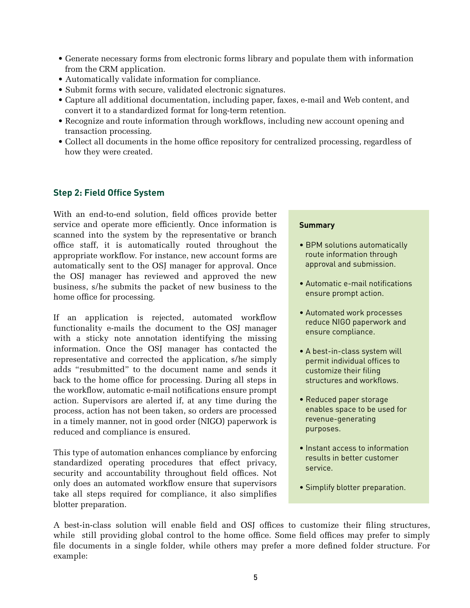- Generate necessary forms from electronic forms library and populate them with information from the CRM application.
- Automatically validate information for compliance.
- Submit forms with secure, validated electronic signatures.
- Capture all additional documentation, including paper, faxes, e-mail and Web content, and convert it to a standardized format for long-term retention.
- Recognize and route information through workflows, including new account opening and transaction processing.
- Collect all documents in the home office repository for centralized processing, regardless of how they were created.

### **Step 2: Field Office System**

With an end-to-end solution, field offices provide better service and operate more efficiently. Once information is scanned into the system by the representative or branch office staff, it is automatically routed throughout the appropriate workflow. For instance, new account forms are automatically sent to the OSJ manager for approval. Once the OSJ manager has reviewed and approved the new business, s/he submits the packet of new business to the home office for processing.

If an application is rejected, automated workflow functionality e-mails the document to the OSJ manager with a sticky note annotation identifying the missing information. Once the OSJ manager has contacted the representative and corrected the application, s/he simply adds "resubmitted" to the document name and sends it back to the home office for processing. During all steps in the workflow, automatic e-mail notifications ensure prompt action. Supervisors are alerted if, at any time during the process, action has not been taken, so orders are processed in a timely manner, not in good order (NIGO) paperwork is reduced and compliance is ensured.

This type of automation enhances compliance by enforcing standardized operating procedures that effect privacy, security and accountability throughout field offices. Not only does an automated workflow ensure that supervisors take all steps required for compliance, it also simplifies blotter preparation.

#### **Summary**

- BPM solutions automatically route information through approval and submission.
- Automatic e-mail notifications ensure prompt action.
- Automated work processes reduce NIGO paperwork and ensure compliance.
- A best-in-class system will permit individual offices to customize their filing structures and workflows.
- Reduced paper storage enables space to be used for revenue-generating purposes.
- Instant access to information results in better customer service.
- Simplify blotter preparation.

A best-in-class solution will enable field and OSJ offices to customize their filing structures, while still providing global control to the home office. Some field offices may prefer to simply file documents in a single folder, while others may prefer a more defined folder structure. For example: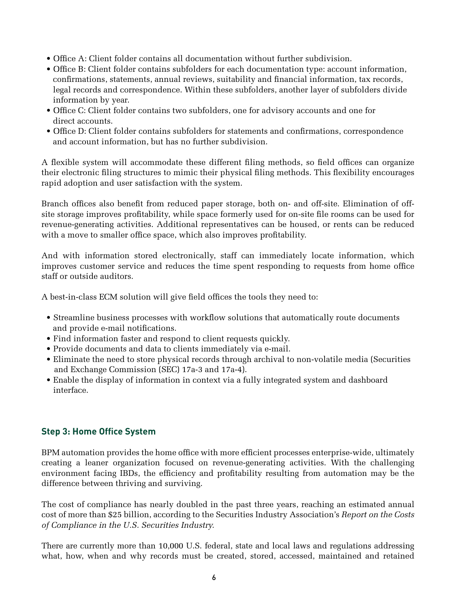- Office A: Client folder contains all documentation without further subdivision.
- Office B: Client folder contains subfolders for each documentation type: account information, confirmations, statements, annual reviews, suitability and financial information, tax records, legal records and correspondence. Within these subfolders, another layer of subfolders divide information by year.
- Office C: Client folder contains two subfolders, one for advisory accounts and one for direct accounts.
- Office D: Client folder contains subfolders for statements and confirmations, correspondence and account information, but has no further subdivision.

A flexible system will accommodate these different filing methods, so field offices can organize their electronic filing structures to mimic their physical filing methods. This flexibility encourages rapid adoption and user satisfaction with the system.

Branch offices also benefit from reduced paper storage, both on- and off-site. Elimination of offsite storage improves profitability, while space formerly used for on-site file rooms can be used for revenue-generating activities. Additional representatives can be housed, or rents can be reduced with a move to smaller office space, which also improves profitability.

And with information stored electronically, staff can immediately locate information, which improves customer service and reduces the time spent responding to requests from home office staff or outside auditors.

A best-in-class ECM solution will give field offices the tools they need to:

- Streamline business processes with workflow solutions that automatically route documents and provide e-mail notifications.
- Find information faster and respond to client requests quickly.
- Provide documents and data to clients immediately via e-mail.
- Eliminate the need to store physical records through archival to non-volatile media (Securities and Exchange Commission (SEC) 17a-3 and 17a-4).
- Enable the display of information in context via a fully integrated system and dashboard interface.

### **Step 3: Home Office System**

BPM automation provides the home office with more efficient processes enterprise-wide, ultimately creating a leaner organization focused on revenue-generating activities. With the challenging environment facing IBDs, the efficiency and profitability resulting from automation may be the difference between thriving and surviving.

The cost of compliance has nearly doubled in the past three years, reaching an estimated annual cost of more than \$25 billion, according to the Securities Industry Association's *Report on the Costs of Compliance in the U.S. Securities Industry.*

There are currently more than 10,000 U.S. federal, state and local laws and regulations addressing what, how, when and why records must be created, stored, accessed, maintained and retained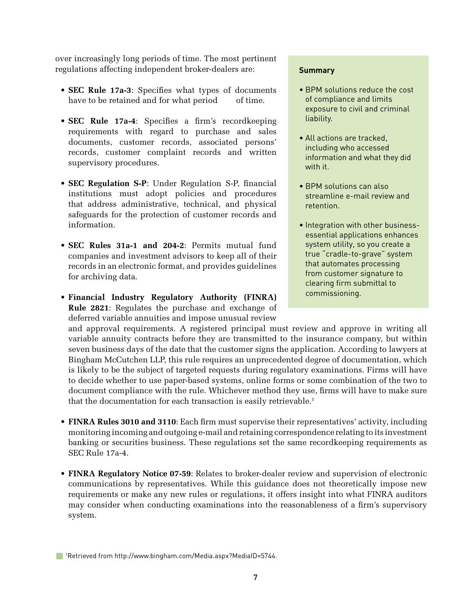over increasingly long periods of time. The most pertinent regulations affecting independent broker-dealers are:

- **SEC Rule 17a-3**: Specifies what types of documents have to be retained and for what period of time.
- **SEC Rule 17a-4**: Specifies a firm's recordkeeping requirements with regard to purchase and sales documents, customer records, associated persons' records, customer complaint records and written supervisory procedures.
- **SEC Regulation S-P:** Under Regulation S-P, financial institutions must adopt policies and procedures that address administrative, technical, and physical safeguards for the protection of customer records and information.
- **SEC Rules 31a-1 and 204-2**: Permits mutual fund companies and investment advisors to keep all of their records in an electronic format, and provides guidelines for archiving data.
- **Financial Industry Regulatory Authority (FINRA) Rule 2821**: Regulates the purchase and exchange of deferred variable annuities and impose unusual review

#### **Summary**

- BPM solutions reduce the cost of compliance and limits exposure to civil and criminal liability.
- All actions are tracked, including who accessed information and what they did with it.
- BPM solutions can also streamline e-mail review and retention.
- Integration with other businessessential applications enhances system utility, so you create a true "cradle-to-grave" system that automates processing from customer signature to clearing firm submittal to commissioning.

and approval requirements. A registered principal must review and approve in writing all variable annuity contracts before they are transmitted to the insurance company, but within seven business days of the date that the customer signs the application. According to lawyers at Bingham McCutchen LLP, this rule requires an unprecedented degree of documentation, which is likely to be the subject of targeted requests during regulatory examinations. Firms will have to decide whether to use paper-based systems, online forms or some combination of the two to document compliance with the rule. Whichever method they use, firms will have to make sure that the documentation for each transaction is easily retrievable.<sup>1</sup>

- FINRA Rules 3010 and 3110: Each firm must supervise their representatives' activity, including monitoring incoming and outgoing e-mail and retaining correspondence relating to its investment banking or securities business. These regulations set the same recordkeeping requirements as SEC Rule 17a-4.
- FINRA Regulatory Notice 07-59: Relates to broker-dealer review and supervision of electronic communications by representatives. While this guidance does not theoretically impose new requirements or make any new rules or regulations, it offers insight into what FINRA auditors may consider when conducting examinations into the reasonableness of a firm's supervisory system.

<sup>1</sup> Retrieved from http://www.bingham.com/Media.aspx?MediaID=5744.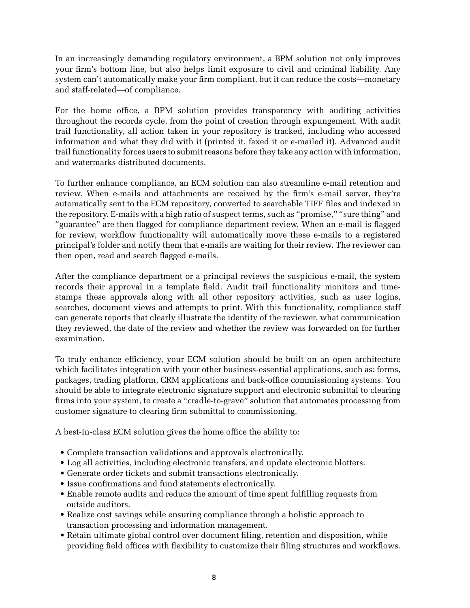In an increasingly demanding regulatory environment, a BPM solution not only improves your firm's bottom line, but also helps limit exposure to civil and criminal liability. Any system can't automatically make your firm compliant, but it can reduce the costs—monetary and staff-related—of compliance.

For the home office, a BPM solution provides transparency with auditing activities throughout the records cycle, from the point of creation through expungement. With audit trail functionality, all action taken in your repository is tracked, including who accessed information and what they did with it (printed it, faxed it or e-mailed it). Advanced audit trail functionality forces users to submit reasons before they take any action with information, and watermarks distributed documents.

To further enhance compliance, an ECM solution can also streamline e-mail retention and review. When e-mails and attachments are received by the firm's e-mail server, they're automatically sent to the ECM repository, converted to searchable TIFF files and indexed in the repository. E-mails with a high ratio of suspect terms, such as "promise," "sure thing" and "guarantee" are then flagged for compliance department review. When an e-mail is flagged for review, workflow functionality will automatically move these e-mails to a registered principal's folder and notify them that e-mails are waiting for their review. The reviewer can then open, read and search flagged e-mails.

After the compliance department or a principal reviews the suspicious e-mail, the system records their approval in a template field. Audit trail functionality monitors and timestamps these approvals along with all other repository activities, such as user logins, searches, document views and attempts to print. With this functionality, compliance staff can generate reports that clearly illustrate the identity of the reviewer, what communication they reviewed, the date of the review and whether the review was forwarded on for further examination.

To truly enhance efficiency, your ECM solution should be built on an open architecture which facilitates integration with your other business-essential applications, such as: forms, packages, trading platform, CRM applications and back-office commissioning systems. You should be able to integrate electronic signature support and electronic submittal to clearing firms into your system, to create a "cradle-to-grave" solution that automates processing from customer signature to clearing firm submittal to commissioning.

A best-in-class ECM solution gives the home office the ability to:

- Complete transaction validations and approvals electronically.
- Log all activities, including electronic transfers, and update electronic blotters.
- Generate order tickets and submit transactions electronically.
- Issue confirmations and fund statements electronically.
- Enable remote audits and reduce the amount of time spent fulfilling requests from outside auditors.
- Realize cost savings while ensuring compliance through a holistic approach to transaction processing and information management.
- Retain ultimate global control over document filing, retention and disposition, while providing field offices with flexibility to customize their filing structures and workflows.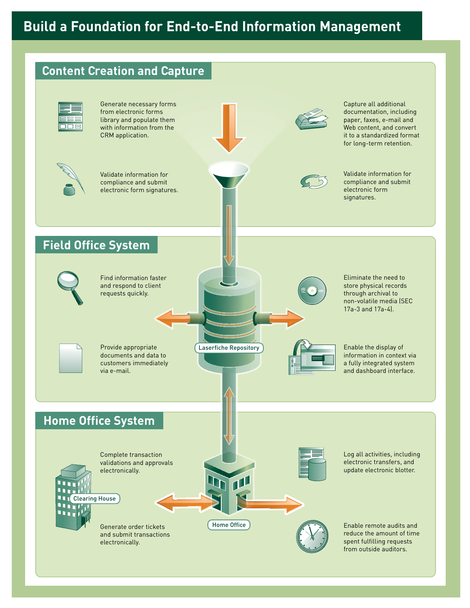

9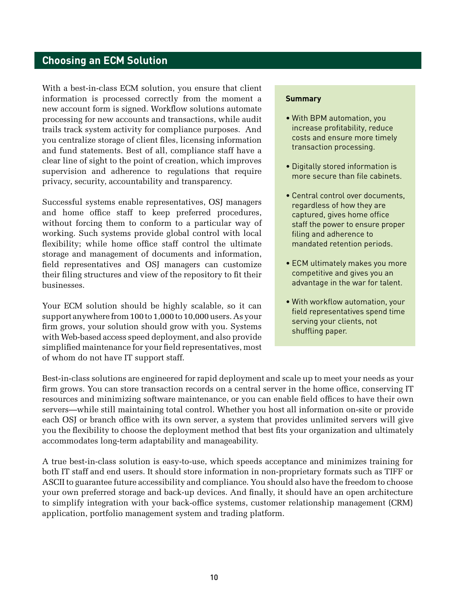## **Choosing an ECM Solution**

With a best-in-class ECM solution, you ensure that client information is processed correctly from the moment a new account form is signed. Workflow solutions automate processing for new accounts and transactions, while audit trails track system activity for compliance purposes. And you centralize storage of client files, licensing information and fund statements. Best of all, compliance staff have a clear line of sight to the point of creation, which improves supervision and adherence to regulations that require privacy, security, accountability and transparency.

Successful systems enable representatives, OSJ managers and home office staff to keep preferred procedures, without forcing them to conform to a particular way of working. Such systems provide global control with local flexibility; while home office staff control the ultimate storage and management of documents and information, field representatives and OSJ managers can customize their filing structures and view of the repository to fit their businesses.

Your ECM solution should be highly scalable, so it can support anywhere from 100 to 1,000 to 10,000 users. As your firm grows, your solution should grow with you. Systems with Web-based access speed deployment, and also provide simplified maintenance for your field representatives, most of whom do not have IT support staff.

#### **Summary**

- With BPM automation, you increase profitability, reduce costs and ensure more timely transaction processing.
- Digitally stored information is more secure than file cabinets.
- Central control over documents, regardless of how they are captured, gives home office staff the power to ensure proper filing and adherence to mandated retention periods.
- ECM ultimately makes you more competitive and gives you an advantage in the war for talent.
- With workflow automation, your field representatives spend time serving your clients, not shuffling paper.

Best-in-class solutions are engineered for rapid deployment and scale up to meet your needs as your firm grows. You can store transaction records on a central server in the home office, conserving IT resources and minimizing software maintenance, or you can enable field offices to have their own servers—while still maintaining total control. Whether you host all information on-site or provide each OSJ or branch office with its own server, a system that provides unlimited servers will give you the flexibility to choose the deployment method that best fits your organization and ultimately accommodates long-term adaptability and manageability.

A true best-in-class solution is easy-to-use, which speeds acceptance and minimizes training for both IT staff and end users. It should store information in non-proprietary formats such as TIFF or ASCII to guarantee future accessibility and compliance. You should also have the freedom to choose your own preferred storage and back-up devices. And finally, it should have an open architecture to simplify integration with your back-office systems, customer relationship management (CRM) application, portfolio management system and trading platform.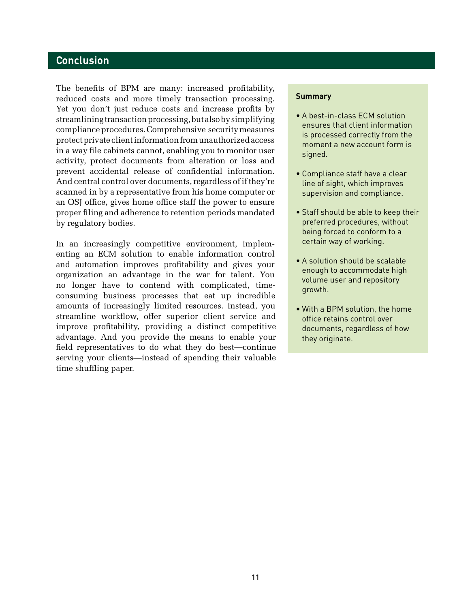## **Conclusion**

The benefits of BPM are many: increased profitability, reduced costs and more timely transaction processing. Yet you don't just reduce costs and increase profits by streamlining transaction processing, but also by simplifying compliance procedures. Comprehensive security measures protect private client information from unauthorized access in a way file cabinets cannot, enabling you to monitor user activity, protect documents from alteration or loss and prevent accidental release of confidential information. And central control over documents, regardless of if they're scanned in by a representative from his home computer or an OSJ office, gives home office staff the power to ensure proper filing and adherence to retention periods mandated by regulatory bodies.

In an increasingly competitive environment, implementing an ECM solution to enable information control and automation improves profitability and gives your organization an advantage in the war for talent. You no longer have to contend with complicated, timeconsuming business processes that eat up incredible amounts of increasingly limited resources. Instead, you streamline workflow, offer superior client service and improve profitability, providing a distinct competitive advantage. And you provide the means to enable your field representatives to do what they do best—continue serving your clients—instead of spending their valuable time shuffling paper.

#### **Summary**

- A best-in-class ECM solution ensures that client information is processed correctly from the moment a new account form is signed.
- Compliance staff have a clear line of sight, which improves supervision and compliance.
- Staff should be able to keep their preferred procedures, without being forced to conform to a certain way of working.
- A solution should be scalable enough to accommodate high volume user and repository growth.
- With a BPM solution, the home office retains control over documents, regardless of how they originate.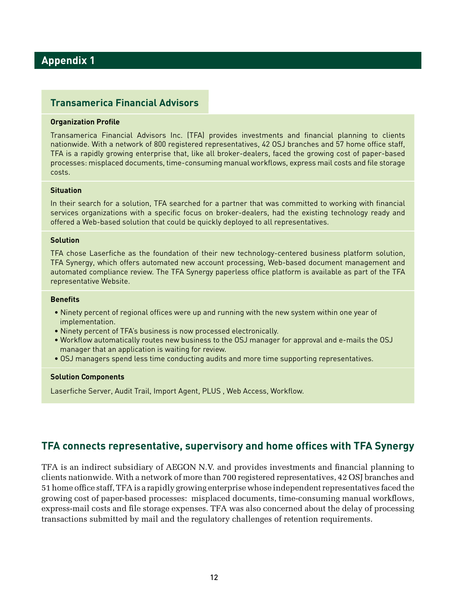## **Appendix 1**

### **Transamerica Financial Advisors**

#### **Organization Profile**

Transamerica Financial Advisors Inc. (TFA) provides investments and financial planning to clients nationwide. With a network of 800 registered representatives, 42 OSJ branches and 57 home office staff, TFA is a rapidly growing enterprise that, like all broker-dealers, faced the growing cost of paper-based processes: misplaced documents, time-consuming manual workflows, express mail costs and file storage costs.

#### **Situation**

In their search for a solution, TFA searched for a partner that was committed to working with financial services organizations with a specific focus on broker-dealers, had the existing technology ready and offered a Web-based solution that could be quickly deployed to all representatives.

#### **Solution**

TFA chose Laserfiche as the foundation of their new technology-centered business platform solution, TFA Synergy, which offers automated new account processing, Web-based document management and automated compliance review. The TFA Synergy paperless office platform is available as part of the TFA representative Website.

#### **Benefits**

- Ninety percent of regional offices were up and running with the new system within one year of implementation.
- Ninety percent of TFA's business is now processed electronically.
- Workflow automatically routes new business to the OSJ manager for approval and e-mails the OSJ manager that an application is waiting for review.
- OSJ managers spend less time conducting audits and more time supporting representatives.

#### **Solution Components**

Laserfiche Server, Audit Trail, Import Agent, PLUS , Web Access, Workflow.

### **TFA connects representative, supervisory and home offices with TFA Synergy**

TFA is an indirect subsidiary of AEGON N.V. and provides investments and financial planning to clients nationwide. With a network of more than 700 registered representatives, 42 OSJ branches and 51 home office staff, TFA is a rapidly growing enterprise whose independent representatives faced the growing cost of paper-based processes: misplaced documents, time-consuming manual workflows, express-mail costs and file storage expenses. TFA was also concerned about the delay of processing transactions submitted by mail and the regulatory challenges of retention requirements.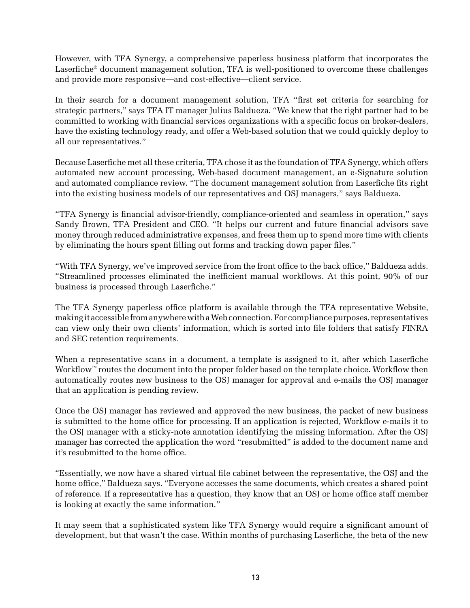However, with TFA Synergy, a comprehensive paperless business platform that incorporates the Laserfiche® document management solution, TFA is well-positioned to overcome these challenges and provide more responsive—and cost-effective—client service.

In their search for a document management solution, TFA "first set criteria for searching for strategic partners," says TFA IT manager Julius Baldueza. "We knew that the right partner had to be committed to working with financial services organizations with a specific focus on broker-dealers, have the existing technology ready, and offer a Web-based solution that we could quickly deploy to all our representatives."

Because Laserfiche met all these criteria, TFA chose it as the foundation of TFA Synergy, which offers automated new account processing, Web-based document management, an e-Signature solution and automated compliance review. "The document management solution from Laserfiche fits right into the existing business models of our representatives and OSJ managers," says Baldueza.

"TFA Synergy is financial advisor-friendly, compliance-oriented and seamless in operation," says Sandy Brown, TFA President and CEO. "It helps our current and future financial advisors save money through reduced administrative expenses, and frees them up to spend more time with clients by eliminating the hours spent filling out forms and tracking down paper files."

"With TFA Synergy, we've improved service from the front office to the back office," Baldueza adds. "Streamlined processes eliminated the inefficient manual workflows. At this point, 90% of our business is processed through Laserfiche."

The TFA Synergy paperless office platform is available through the TFA representative Website, making it accessible from anywhere with a Web connection. For compliance purposes, representatives can view only their own clients' information, which is sorted into file folders that satisfy FINRA and SEC retention requirements.

When a representative scans in a document, a template is assigned to it, after which Laserfiche Workflow™ routes the document into the proper folder based on the template choice. Workflow then automatically routes new business to the OSJ manager for approval and e-mails the OSJ manager that an application is pending review.

Once the OSJ manager has reviewed and approved the new business, the packet of new business is submitted to the home office for processing. If an application is rejected, Workflow e-mails it to the OSJ manager with a sticky-note annotation identifying the missing information. After the OSJ manager has corrected the application the word "resubmitted" is added to the document name and it's resubmitted to the home office.

"Essentially, we now have a shared virtual file cabinet between the representative, the OSJ and the home office," Baldueza says. "Everyone accesses the same documents, which creates a shared point of reference. If a representative has a question, they know that an OSJ or home office staff member is looking at exactly the same information."

It may seem that a sophisticated system like TFA Synergy would require a significant amount of development, but that wasn't the case. Within months of purchasing Laserfiche, the beta of the new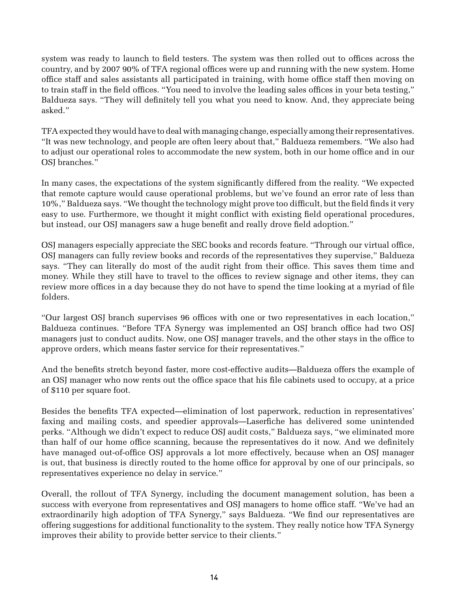system was ready to launch to field testers. The system was then rolled out to offices across the country, and by 2007 90% of TFA regional offices were up and running with the new system. Home office staff and sales assistants all participated in training, with home office staff then moving on to train staff in the field offices. "You need to involve the leading sales offices in your beta testing," Baldueza says. "They will definitely tell you what you need to know. And, they appreciate being asked."

TFA expected they would have to deal with managing change, especially among their representatives. "It was new technology, and people are often leery about that," Baldueza remembers. "We also had to adjust our operational roles to accommodate the new system, both in our home office and in our OSJ branches."

In many cases, the expectations of the system significantly differed from the reality. "We expected that remote capture would cause operational problems, but we've found an error rate of less than 10%," Baldueza says. "We thought the technology might prove too difficult, but the field finds it very easy to use. Furthermore, we thought it might conflict with existing field operational procedures, but instead, our OSJ managers saw a huge benefit and really drove field adoption."

OSJ managers especially appreciate the SEC books and records feature. "Through our virtual office, OSJ managers can fully review books and records of the representatives they supervise," Baldueza says. "They can literally do most of the audit right from their office. This saves them time and money. While they still have to travel to the offices to review signage and other items, they can review more offices in a day because they do not have to spend the time looking at a myriad of file folders.

"Our largest OSJ branch supervises 96 offices with one or two representatives in each location," Baldueza continues. "Before TFA Synergy was implemented an OSJ branch office had two OSJ managers just to conduct audits. Now, one OSJ manager travels, and the other stays in the office to approve orders, which means faster service for their representatives."

And the benefits stretch beyond faster, more cost-effective audits—Baldueza offers the example of an OSJ manager who now rents out the office space that his file cabinets used to occupy, at a price of \$110 per square foot.

Besides the benefits TFA expected—elimination of lost paperwork, reduction in representatives' faxing and mailing costs, and speedier approvals—Laserfiche has delivered some unintended perks. "Although we didn't expect to reduce OSJ audit costs," Baldueza says, "we eliminated more than half of our home office scanning, because the representatives do it now. And we definitely have managed out-of-office OSJ approvals a lot more effectively, because when an OSJ manager is out, that business is directly routed to the home office for approval by one of our principals, so representatives experience no delay in service."

Overall, the rollout of TFA Synergy, including the document management solution, has been a success with everyone from representatives and OSJ managers to home office staff. "We've had an extraordinarily high adoption of TFA Synergy," says Baldueza. "We find our representatives are offering suggestions for additional functionality to the system. They really notice how TFA Synergy improves their ability to provide better service to their clients."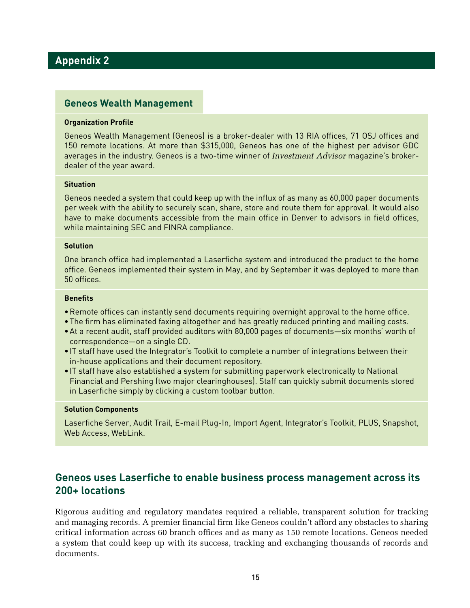## **Appendix 2**

#### **Geneos Wealth Management**

#### **Organization Profile**

Geneos Wealth Management (Geneos) is a broker-dealer with 13 RIA offices, 71 OSJ offices and 150 remote locations. At more than \$315,000, Geneos has one of the highest per advisor GDC averages in the industry. Geneos is a two-time winner of *Investment Advisor* magazine's brokerdealer of the year award.

#### **Situation**

Geneos needed a system that could keep up with the influx of as many as 60,000 paper documents per week with the ability to securely scan, share, store and route them for approval. It would also have to make documents accessible from the main office in Denver to advisors in field offices, while maintaining SEC and FINRA compliance.

#### **Solution**

One branch office had implemented a Laserfiche system and introduced the product to the home office. Geneos implemented their system in May, and by September it was deployed to more than 50 offices.

#### **Benefits**

- •Remote offices can instantly send documents requiring overnight approval to the home office.
- •The firm has eliminated faxing altogether and has greatly reduced printing and mailing costs.
- •At a recent audit, staff provided auditors with 80,000 pages of documents—six months' worth of correspondence—on a single CD.
- •IT staff have used the Integrator's Toolkit to complete a number of integrations between their in-house applications and their document repository.
- •IT staff have also established a system for submitting paperwork electronically to National Financial and Pershing (two major clearinghouses). Staff can quickly submit documents stored in Laserfiche simply by clicking a custom toolbar button.

#### **Solution Components**

Laserfiche Server, Audit Trail, E-mail Plug-In, Import Agent, Integrator's Toolkit, PLUS, Snapshot, Web Access, WebLink.

## **Geneos uses Laserfiche to enable business process management across its 200+ locations**

Rigorous auditing and regulatory mandates required a reliable, transparent solution for tracking and managing records. A premier financial firm like Geneos couldn't afford any obstacles to sharing critical information across 60 branch offices and as many as 150 remote locations. Geneos needed a system that could keep up with its success, tracking and exchanging thousands of records and documents.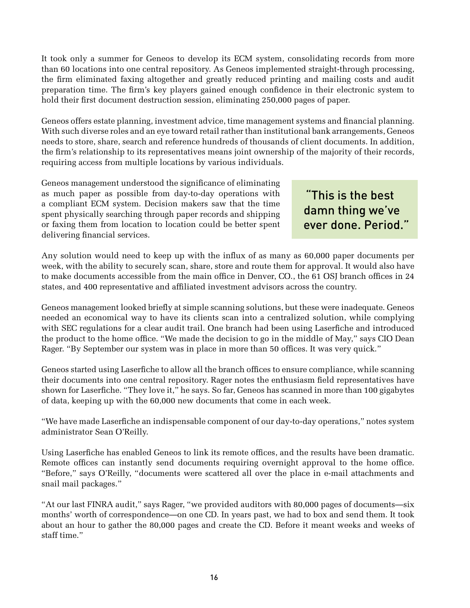It took only a summer for Geneos to develop its ECM system, consolidating records from more than 60 locations into one central repository. As Geneos implemented straight-through processing, the firm eliminated faxing altogether and greatly reduced printing and mailing costs and audit preparation time. The firm's key players gained enough confidence in their electronic system to hold their first document destruction session, eliminating 250,000 pages of paper.

Geneos offers estate planning, investment advice, time management systems and financial planning. With such diverse roles and an eye toward retail rather than institutional bank arrangements, Geneos needs to store, share, search and reference hundreds of thousands of client documents. In addition, the firm's relationship to its representatives means joint ownership of the majority of their records, requiring access from multiple locations by various individuals.

Geneos management understood the significance of eliminating as much paper as possible from day-to-day operations with a compliant ECM system. Decision makers saw that the time spent physically searching through paper records and shipping or faxing them from location to location could be better spent delivering financial services.

 "This is the best damn thing we've ever done. Period."

Any solution would need to keep up with the influx of as many as 60,000 paper documents per week, with the ability to securely scan, share, store and route them for approval. It would also have to make documents accessible from the main office in Denver, CO., the 61 OSJ branch offices in 24 states, and 400 representative and affiliated investment advisors across the country.

Geneos management looked briefly at simple scanning solutions, but these were inadequate. Geneos needed an economical way to have its clients scan into a centralized solution, while complying with SEC regulations for a clear audit trail. One branch had been using Laserfiche and introduced the product to the home office. "We made the decision to go in the middle of May," says CIO Dean Rager. "By September our system was in place in more than 50 offices. It was very quick."

Geneos started using Laserfiche to allow all the branch offices to ensure compliance, while scanning their documents into one central repository. Rager notes the enthusiasm field representatives have shown for Laserfiche. "They love it," he says. So far, Geneos has scanned in more than 100 gigabytes of data, keeping up with the 60,000 new documents that come in each week.

"We have made Laserfiche an indispensable component of our day-to-day operations," notes system administrator Sean O'Reilly.

Using Laserfiche has enabled Geneos to link its remote offices, and the results have been dramatic. Remote offices can instantly send documents requiring overnight approval to the home office. "Before," says O'Reilly, "documents were scattered all over the place in e-mail attachments and snail mail packages."

"At our last FINRA audit," says Rager, "we provided auditors with 80,000 pages of documents—six months' worth of correspondence—on one CD. In years past, we had to box and send them. It took about an hour to gather the 80,000 pages and create the CD. Before it meant weeks and weeks of staff time."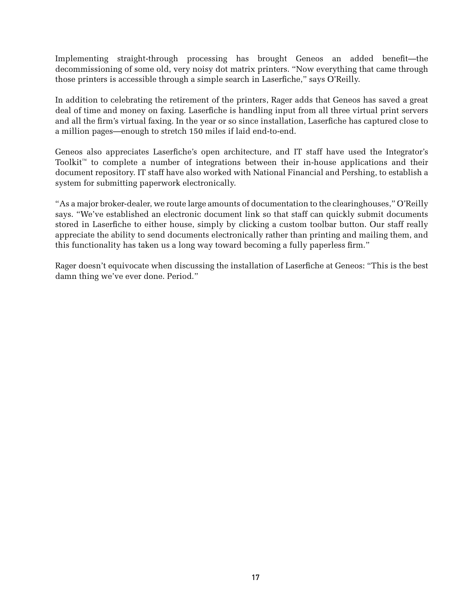Implementing straight-through processing has brought Geneos an added benefit—the decommissioning of some old, very noisy dot matrix printers. "Now everything that came through those printers is accessible through a simple search in Laserfiche," says O'Reilly.

In addition to celebrating the retirement of the printers, Rager adds that Geneos has saved a great deal of time and money on faxing. Laserfiche is handling input from all three virtual print servers and all the firm's virtual faxing. In the year or so since installation, Laserfiche has captured close to a million pages—enough to stretch 150 miles if laid end-to-end.

Geneos also appreciates Laserfiche's open architecture, and IT staff have used the Integrator's Toolkit™ to complete a number of integrations between their in-house applications and their document repository. IT staff have also worked with National Financial and Pershing, to establish a system for submitting paperwork electronically.

"As a major broker-dealer, we route large amounts of documentation to the clearinghouses," O'Reilly says. "We've established an electronic document link so that staff can quickly submit documents stored in Laserfiche to either house, simply by clicking a custom toolbar button. Our staff really appreciate the ability to send documents electronically rather than printing and mailing them, and this functionality has taken us a long way toward becoming a fully paperless firm."

Rager doesn't equivocate when discussing the installation of Laserfiche at Geneos: "This is the best damn thing we've ever done. Period."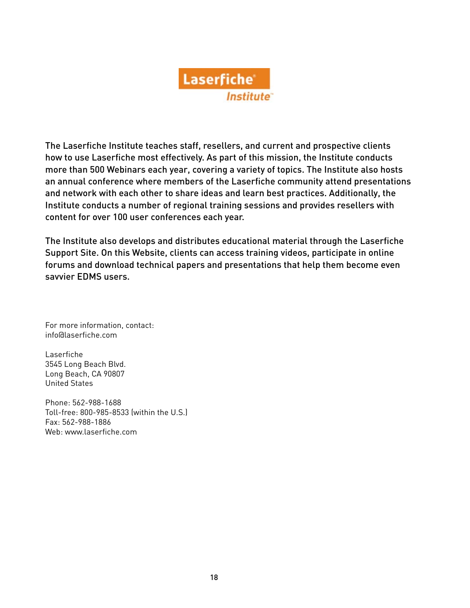

The Laserfiche Institute teaches staff, resellers, and current and prospective clients how to use Laserfiche most effectively. As part of this mission, the Institute conducts more than 500 Webinars each year, covering a variety of topics. The Institute also hosts an annual conference where members of the Laserfiche community attend presentations and network with each other to share ideas and learn best practices. Additionally, the Institute conducts a number of regional training sessions and provides resellers with content for over 100 user conferences each year.

The Institute also develops and distributes educational material through the Laserfiche Support Site. On this Website, clients can access training videos, participate in online forums and download technical papers and presentations that help them become even savvier EDMS users.

For more information, contact: info@laserfiche.com

Laserfiche 3545 Long Beach Blvd. Long Beach, CA 90807 United States

Phone: 562-988-1688 Toll-free: 800-985-8533 (within the U.S.) Fax: 562-988-1886 Web: www.laserfiche.com